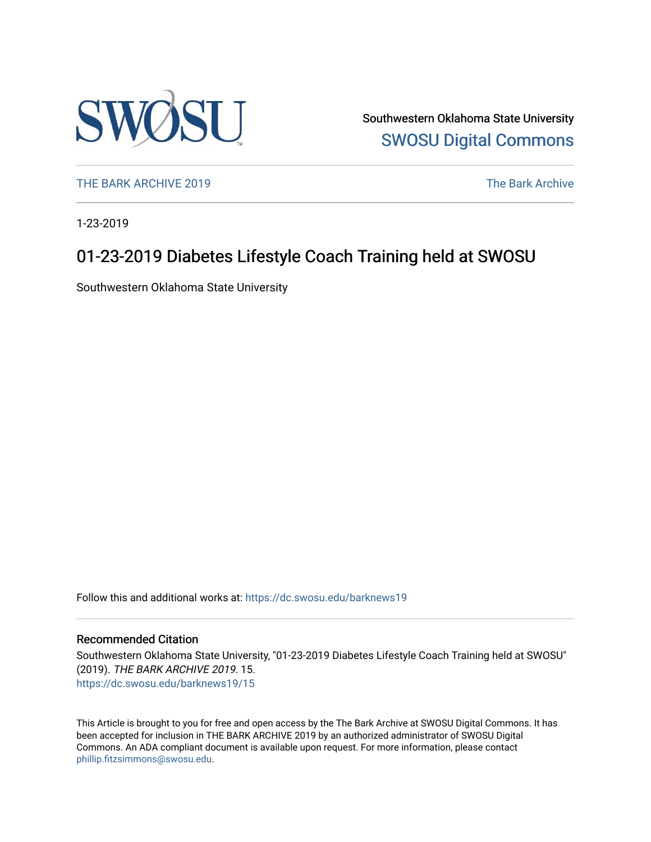

Southwestern Oklahoma State University [SWOSU Digital Commons](https://dc.swosu.edu/) 

[THE BARK ARCHIVE 2019](https://dc.swosu.edu/barknews19) The Bark Archive

1-23-2019

## 01-23-2019 Diabetes Lifestyle Coach Training held at SWOSU

Southwestern Oklahoma State University

Follow this and additional works at: [https://dc.swosu.edu/barknews19](https://dc.swosu.edu/barknews19?utm_source=dc.swosu.edu%2Fbarknews19%2F15&utm_medium=PDF&utm_campaign=PDFCoverPages)

#### Recommended Citation

Southwestern Oklahoma State University, "01-23-2019 Diabetes Lifestyle Coach Training held at SWOSU" (2019). THE BARK ARCHIVE 2019. 15. [https://dc.swosu.edu/barknews19/15](https://dc.swosu.edu/barknews19/15?utm_source=dc.swosu.edu%2Fbarknews19%2F15&utm_medium=PDF&utm_campaign=PDFCoverPages) 

This Article is brought to you for free and open access by the The Bark Archive at SWOSU Digital Commons. It has been accepted for inclusion in THE BARK ARCHIVE 2019 by an authorized administrator of SWOSU Digital Commons. An ADA compliant document is available upon request. For more information, please contact [phillip.fitzsimmons@swosu.edu](mailto:phillip.fitzsimmons@swosu.edu).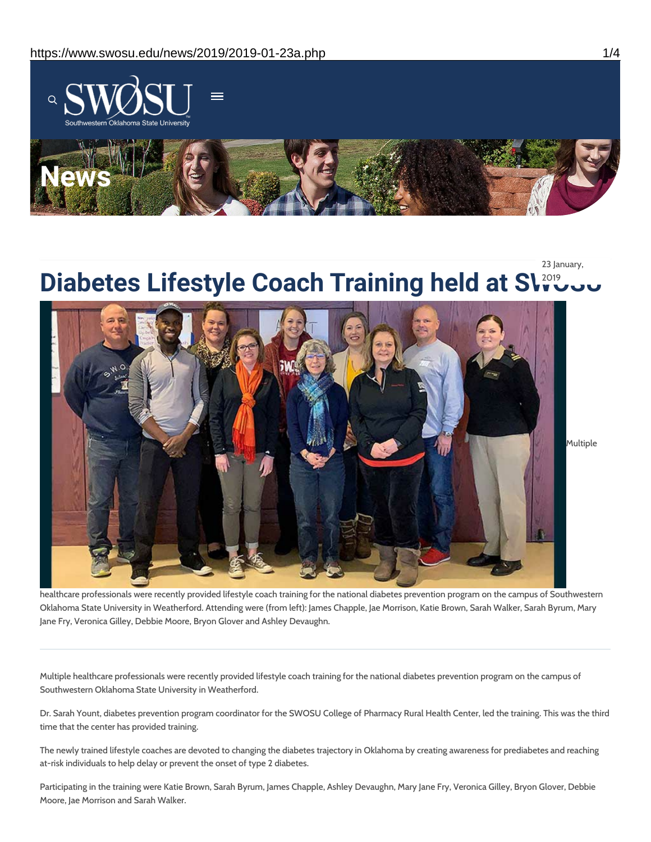

# **Diabetes Lifestyle Coach Training held at Slingus** 23 January,



healthcare professionals were recently provided lifestyle coach training for the national diabetes prevention program on the campus of Southwestern Oklahoma State University in Weatherford. Attending were (from left): James Chapple, Jae Morrison, Katie Brown, Sarah Walker, Sarah Byrum, Mary Jane Fry, Veronica Gilley, Debbie Moore, Bryon Glover and Ashley Devaughn.

Multiple healthcare professionals were recently provided lifestyle coach training for the national diabetes prevention program on the campus of Southwestern Oklahoma State University in Weatherford.

Dr. Sarah Yount, diabetes prevention program coordinator for the SWOSU College of Pharmacy Rural Health Center, led the training. This was the third time that the center has provided training.

The newly trained lifestyle coaches are devoted to changing the diabetes trajectory in Oklahoma by creating awareness for prediabetes and reaching at-risk individuals to help delay or prevent the onset of type 2 diabetes.

Participating in the training were Katie Brown, Sarah Byrum, James Chapple, Ashley Devaughn, Mary Jane Fry, Veronica Gilley, Bryon Glover, Debbie Moore, Jae Morrison and Sarah Walker.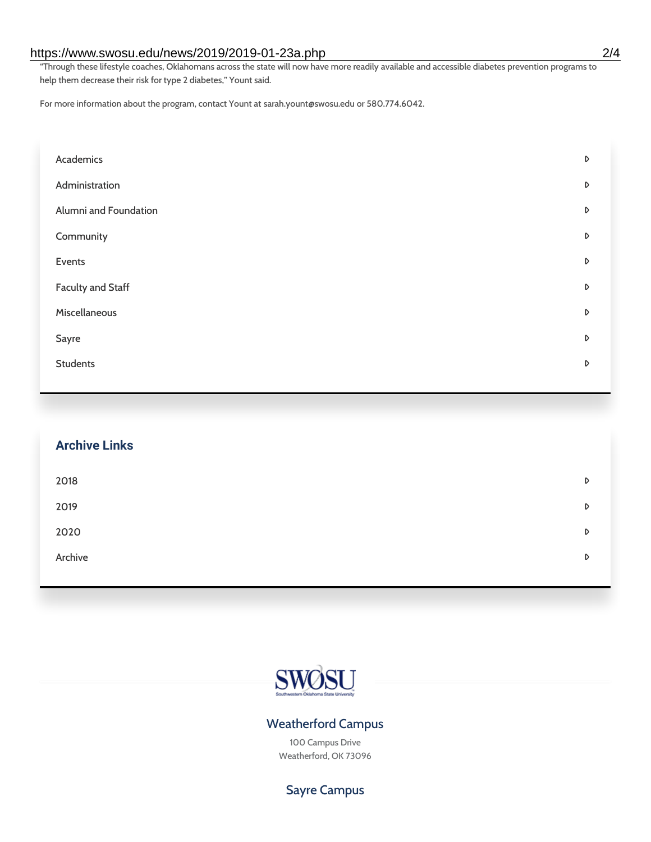#### https://www.swosu.edu/news/2019/2019-01-23a.php 2/4

"Through these lifestyle coaches, Oklahomans across the state will now have more readily available and accessible diabetes prevention programs to help them decrease their risk for type 2 diabetes," Yount said.

For more information about the program, contact Yount at sarah.yount@swosu.edu or 580.774.6042.

| Academics             | D |
|-----------------------|---|
| Administration        | D |
| Alumni and Foundation | D |
| Community             | D |
| Events                | D |
| Faculty and Staff     | D |
| Miscellaneous         | D |
| Sayre                 | D |
| <b>Students</b>       | D |

| <b>Archive Links</b> |   |
|----------------------|---|
| 2018                 | D |
| 2019                 | D |
| 2020                 | D |
| Archive              | D |



## Weatherford Campus

100 Campus Drive Weatherford, OK 73096

## Sayre Campus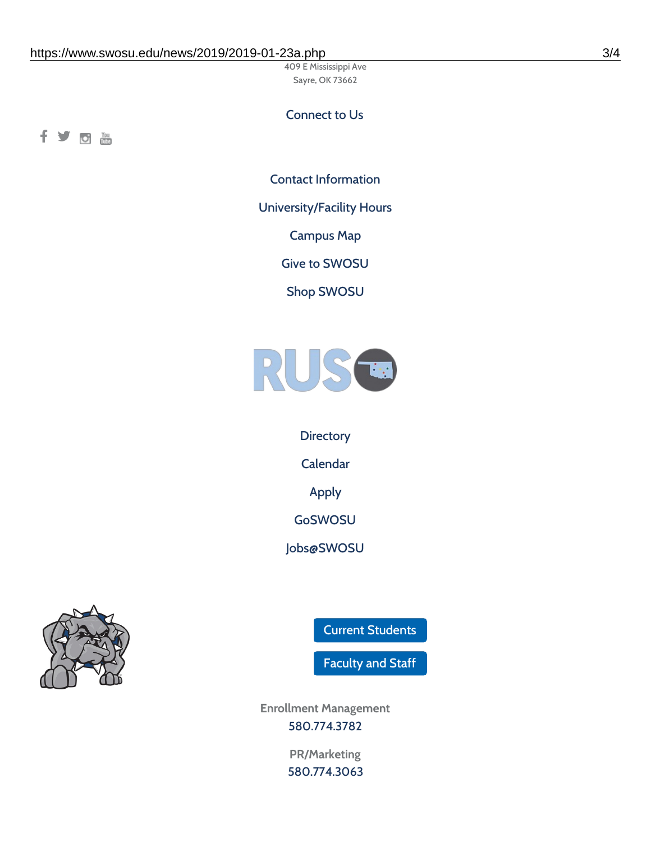409 E Mississippi Ave Sayre, OK 73662

### Connect to Us

fyom

Contact [Information](https://www.swosu.edu/about/contact.php)

[University/Facility](https://www.swosu.edu/about/operating-hours.php) Hours

[Campus](https://map.concept3d.com/?id=768#!ct/10964,10214,10213,10212,10205,10204,10203,10202,10136,10129,10128,0,31226,10130,10201,10641,0) Map

Give to [SWOSU](https://standingfirmly.com/donate)

Shop [SWOSU](https://shopswosu.merchorders.com/)



**[Directory](https://www.swosu.edu/directory/index.php)** [Calendar](https://eventpublisher.dudesolutions.com/swosu/) [Apply](https://www.swosu.edu/admissions/apply-to-swosu.php) [GoSWOSU](https://qlsso.quicklaunchsso.com/home/1267) [Jobs@SWOSU](https://swosu.csod.com/ux/ats/careersite/1/home?c=swosu)



Current [Students](https://bulldog.swosu.edu/index.php)

[Faculty](https://bulldog.swosu.edu/faculty-staff/index.php) and Staff

**Enrollment Management** [580.774.3782](tel:5807743782)

> **PR/Marketing** [580.774.3063](tel:5807743063)